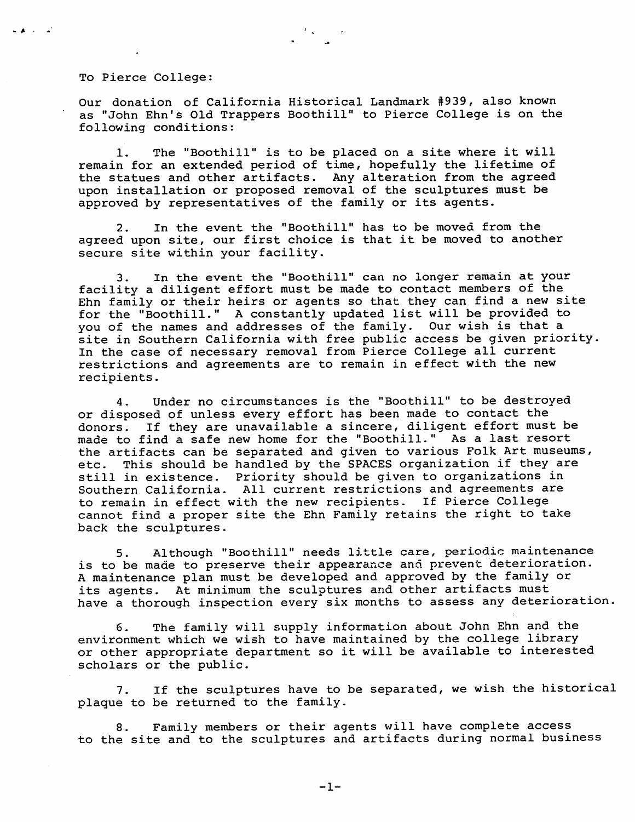To Pierce College:

Our donation of California Historical Landmark # 939, also known as "John Ehn's Old Trappers Boothill" to Pierce College is on the following conditions:

 $\frac{1}{2}$  and

1. The "Boothill" is to be placed on a site where it will remain for an extended period of time, hopefully the lifetime of the statues and other artifacts. Any alteration from the agreed upon installation or proposed removal of the sculptures must be approved by representatives of the family or its agents.

2. In the event the "Boothill" has to be moved from the agreed upon site, our first choice is that it be moved to another secure site within your facility.

3. In the event the "Boothill" can no longer remain at your facility a diligent effort must be made to contact members of the Ehn family or their heirs or agents so that they can find a new site for the "Boothill." A constantly updated list will be provided to you of the names and addresses of the family. Our wish is that a site in Southern California with free public access be given priority. In the case of necessary removal from Pierce College all current restrictions and agreements are to remain in effect with the new recipients.

4. Under no circumstances is the "Boothill" to be destroyed or disposed of unless every effort has been made to contact the donors. If they are unavailable a sincere, diligent effort must be made to find a safe new home for the "Boothill." As a last resort the artifacts can be separated and given to various Folk Art museums, etc. This should be handled by the SPACES organization if they are still in existence. Priority should be given to organizations in Southern California. All current restrictions and agreements are to remain in effect with the new recipients. If Pierce College cannot find a proper site the Ehn Family retains the right to take back the sculptures.

5. Although "Boothill" needs little care, periodic maintenance is to be made to preserve their appearance and prevent deterioration. A maintenance plan must be developed and approved by the family or its agents. At minimum the sculptures and other artifacts must have a thorough inspection every six months to assess any deterioration.

6. The family will supply information about John Ehn and the environment which we wish to have maintained by the college library or other appropriate department so it will be available to interested scholars or the public.

7. If the sculptures have to be separated, we wish the historical plaque to be returned to the family.

8. Family members or their agents will have complete access to the site and to the sculptures and artifacts during normal business